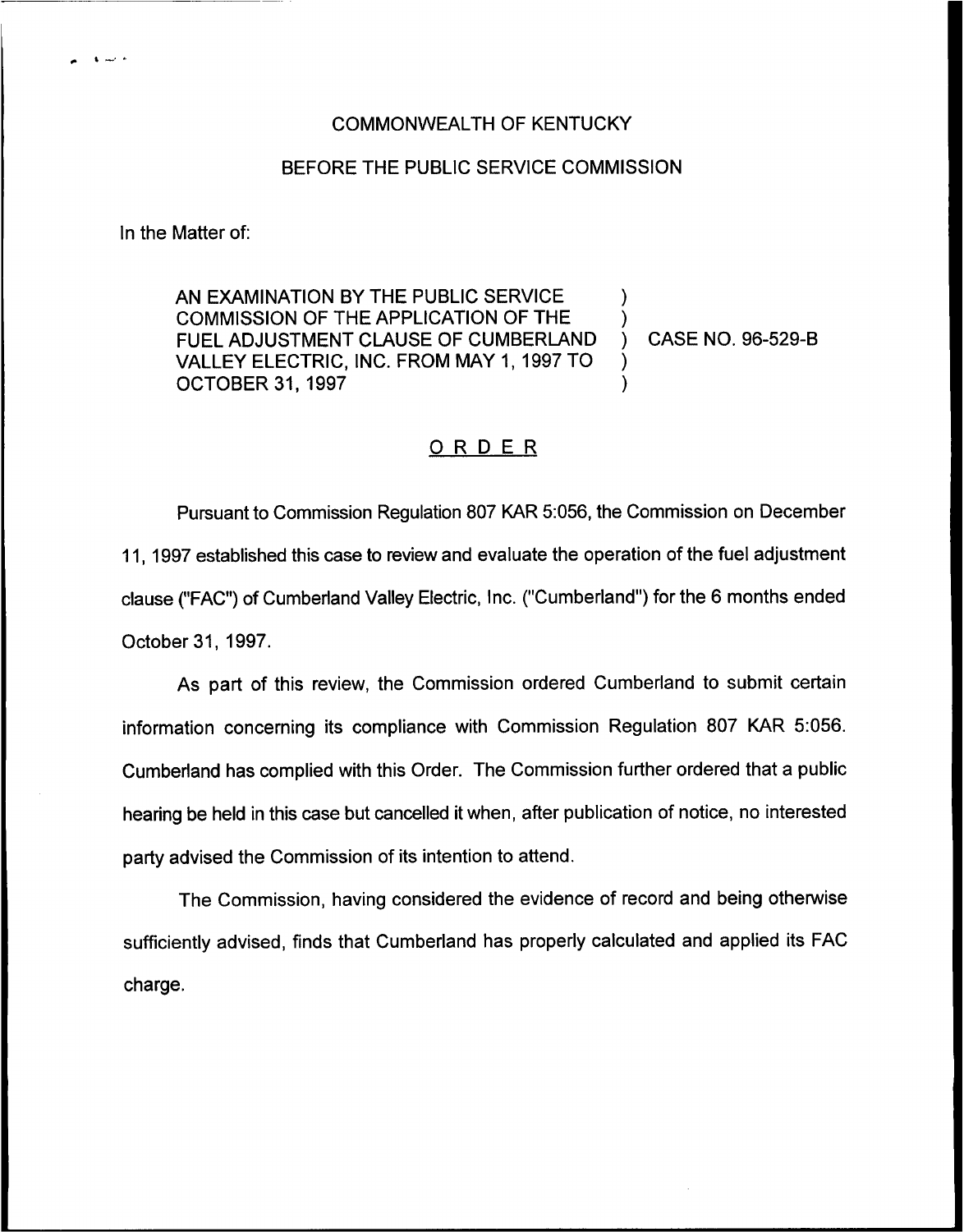## COMMONWEALTH OF KENTUCKY

## BEFORE THE PUBLIC SERVICE COMMISSION

In the Matter of:

والمسارق

AN EXAMINATION BY THE PUBLIC SERVICE COMMISSION OF THE APPLICATION OF THE  $\left\{\begin{array}{ccc} \bullet & \bullet \\ \bullet & \bullet \end{array}\right\}$ FUEL ADJUSTMENT CLAUSE OF CUMBERLAND ) CASE NO. 96-529-B VALLEY ELECTRIC, INC. FROM MAY 1, 1997 TO **OCTOBER 31, 1997** 

## ORDER

Pursuant to Commission Regulation 807 KAR 5:056, the Commission on December 11, 1997 established this case to review and evaluate the operation of the fuel adjustment clause ("FAC") of Cumberland Valley Electric, Inc. ("Cumberland") for the 6 months ende October 31, 1997.

As part of this review, the Commission ordered Cumberland to submit certain information concerning its compliance with Commission Regulation 807 KAR 5:056. Cumberland has complied with this Order. The Commission further ordered that a public hearing be held in this case but cancelled it when, after publication of notice, no interested party advised the Commission of its intention to attend.

The Commission, having considered the evidence of record and being otherwise sufficiently advised, finds that Cumberland has properly calculated and applied its FAC charge.